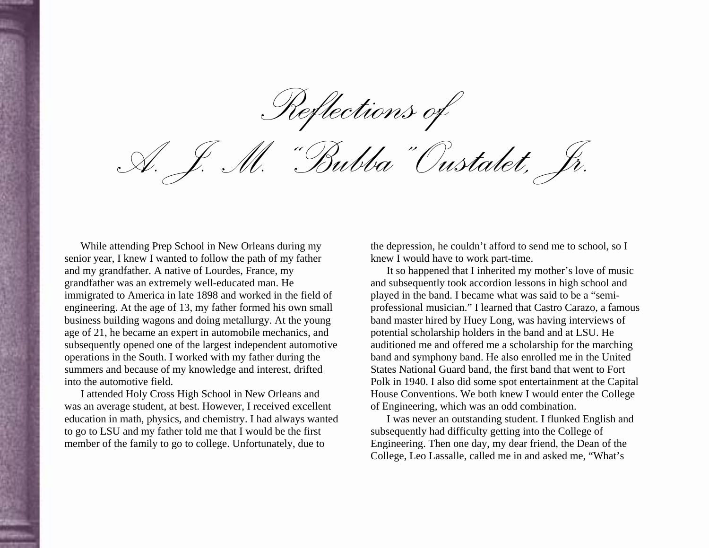*Reflections of* 

*A. J. M. "Bubba" Oustalet, Jr.* 

While attending Prep School in New Orleans during my senior year, I knew I wanted to follow the path of my father and my grandfather. A native of Lourdes, France, my grandfather was an extremely well-educated man. He immigrated to America in late 1898 and worked in the field of engineering. At the age of 13, my father formed his own small business building wagons and doing metallurgy. At the young age of 21, he became an expert in automobile mechanics, and subsequently opened one of the largest independent automotive operations in the South. I worked with my father during the summers and because of my knowledge and interest, drifted into the automotive field.

I attended Holy Cross High School in New Orleans and was an average student, at best. However, I received excellent education in math, physics, and chemistry. I had always wanted to go to LSU and my father told me that I would be the first member of the family to go to college. Unfortunately, due to

the depression, he couldn't afford to send me to school, so I knew I would have to work part-time.

It so happened that I inherited my mother's love of music and subsequently took accordion lessons in high school and played in the band. I became what was said to be a "semiprofessional musician." I learned that Castro Carazo, a famous band master hired by Huey Long, was having interviews of potential scholarship holders in the band and at LSU. He auditioned me and offered me a scholarship for the marching band and symphony band. He also enrolled me in the United States National Guard band, the first band that went to Fort Polk in 1940. I also did some spot entertainment at the Capital House Conventions. We both knew I would enter the College of Engineering, which was an odd combination.

I was never an outstanding student. I flunked English and subsequently had difficulty getting into the College of Engineering. Then one day, my dear friend, the Dean of the College, Leo Lassalle, called me in and asked me, "What's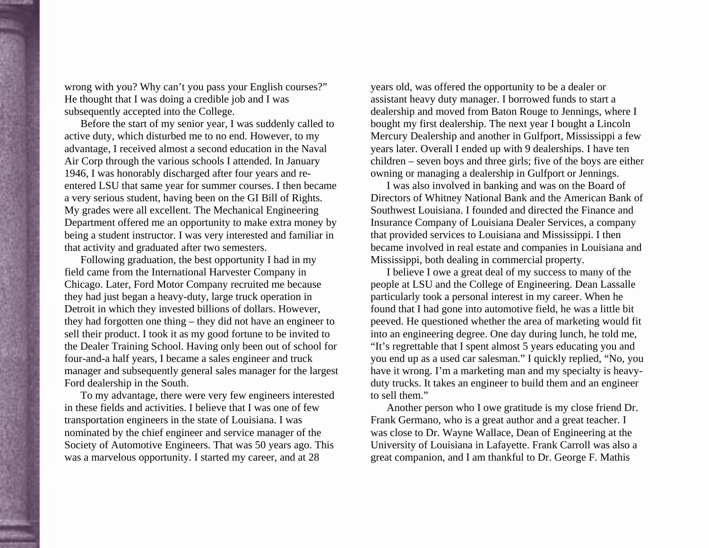wrong with you? Why can't you pass your English courses?" He thought that I was doing a credible job and I was subsequently accepted into the College.

Before the start of my senior year, I was suddenly called to active duty, which disturbed me to no end. However, to my advantage, I received almost a second education in the Naval Air Corp through the various schools I attended. In January 1946, I was honorably discharged after four years and reentered LSU that same year for summer courses. I then became a very serious student, having been on the GI Bill of Rights. My grades were all excellent. The Mechanical Engineering Department offered me an opportunity to make extra money by being a student instructor. I was very interested and familiar in that activity and graduated after two semesters.

Following graduation, the best opportunity I had in my field came from the International Harvester Company in Chicago. Later, Ford Motor Company recruited me because they had just began a heavy-duty, large truck operation in Detroit in which they invested billions of dollars. However, they had forgotten one thing – they did not have an engineer to sell their product. I took it as my good fortune to be invited to the Dealer Training School. Having only been out of school for four-and-a half years, I became a sales engineer and truck manager and subsequently general sales manager for the largest Ford dealership in the South.

To my advantage, there were very few engineers interested in these fields and activities. I believe that I was one of few transportation engineers in the state of Louisiana. I was nominated by the chief engineer and service manager of the Society of Automotive Engineers. That was 50 years ago. This was a marvelous opportunity. I started my career, and at 28

years old, was offered the opportunity to be a dealer or assistant heavy duty manager. I borrowed funds to start a dealership and moved from Baton Rouge to Jennings, where I bought my first dealership. The next year I bought a Lincoln Mercury Dealership and another in Gulfport, Mississippi a few years later. Overall I ended up with 9 dealerships. I have ten children – seven boys and three girls; five of the boys are either owning or managing a dealership in Gulfport or Jennings.

I was also involved in banking and was on the Board of Directors of Whitney National Bank and the American Bank of Southwest Louisiana. I founded and directed the Finance and Insurance Company of Louisiana Dealer Services, a company that provided services to Louisiana and Mississippi. I then became involved in real estate and companies in Louisiana and Mississippi, both dealing in commercial property.

I believe I owe a great deal of my success to many of the people at LSU and the College of Engineering. Dean Lassalle particularly took a personal interest in my career. When he found that I had gone into automotive field, he was a little bit peeved. He questioned whether the area of marketing would fit into an engineering degree. One day during lunch, he told me, "It's regrettable that I spent almost 5 years educating you and you end up as a used car salesman." I quickly replied, "No, you have it wrong. I'm a marketing man and my specialty is heavyduty trucks. It takes an engineer to build them and an engineer to sell them."

Another person who I owe gratitude is my close friend Dr. Frank Germano, who is a great author and a great teacher. I was close to Dr. Wayne Wallace, Dean of Engineering at the University of Louisiana in Lafayette. Frank Carroll was also a great companion, and I am thankful to Dr. George F. Mathis